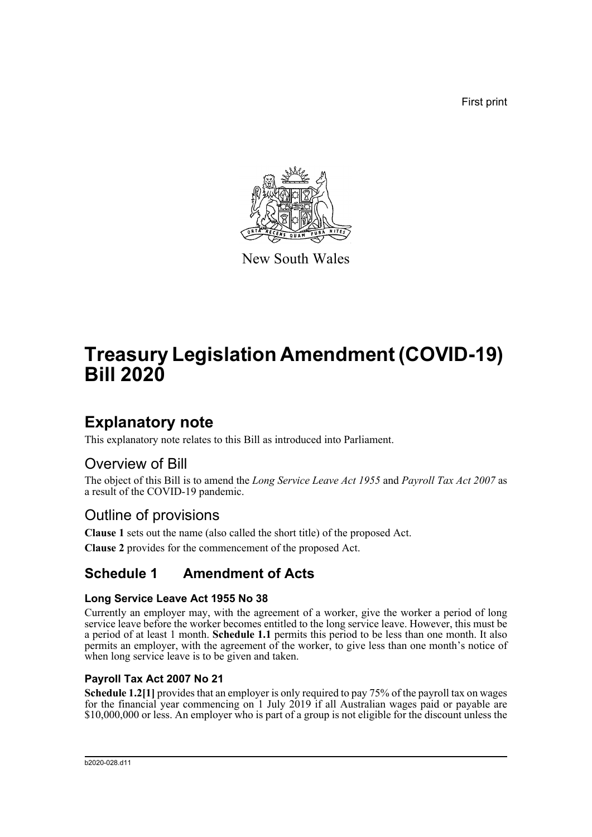First print



New South Wales

# **Treasury Legislation Amendment (COVID-19) Bill 2020**

## **Explanatory note**

This explanatory note relates to this Bill as introduced into Parliament.

## Overview of Bill

The object of this Bill is to amend the *Long Service Leave Act 1955* and *Payroll Tax Act 2007* as a result of the COVID-19 pandemic.

## Outline of provisions

**Clause 1** sets out the name (also called the short title) of the proposed Act.

**Clause 2** provides for the commencement of the proposed Act.

## **Schedule 1 Amendment of Acts**

#### **Long Service Leave Act 1955 No 38**

Currently an employer may, with the agreement of a worker, give the worker a period of long service leave before the worker becomes entitled to the long service leave. However, this must be a period of at least 1 month. **Schedule 1.1** permits this period to be less than one month. It also permits an employer, with the agreement of the worker, to give less than one month's notice of when long service leave is to be given and taken.

#### **Payroll Tax Act 2007 No 21**

**Schedule 1.2[1]** provides that an employer is only required to pay 75% of the payroll tax on wages for the financial year commencing on 1 July 2019 if all Australian wages paid or payable are \$10,000,000 or less. An employer who is part of a group is not eligible for the discount unless the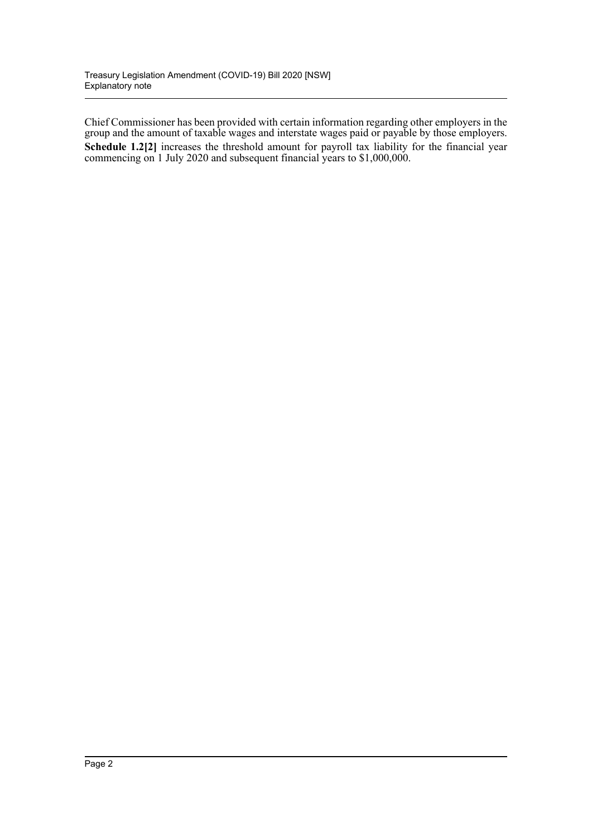Chief Commissioner has been provided with certain information regarding other employers in the group and the amount of taxable wages and interstate wages paid or payable by those employers. **Schedule 1.2[2]** increases the threshold amount for payroll tax liability for the financial year commencing on 1 July 2020 and subsequent financial years to \$1,000,000.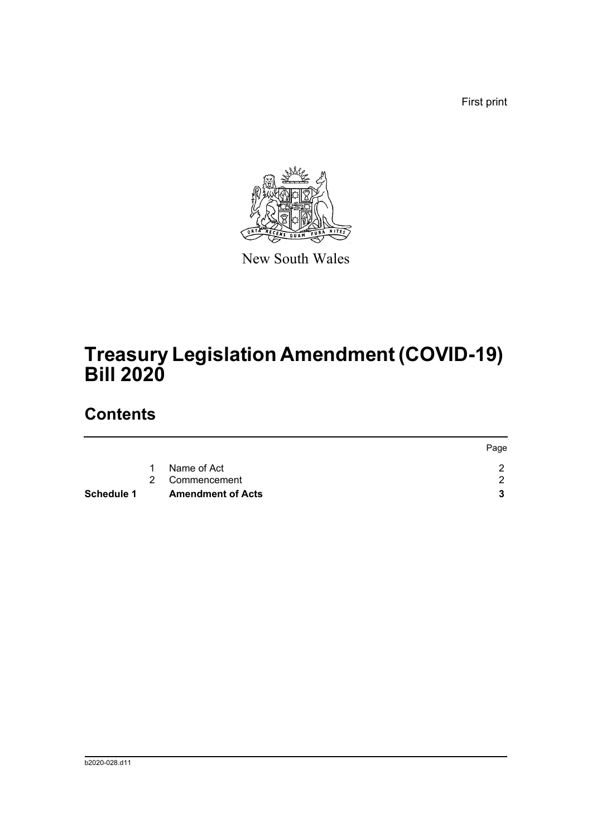First print



New South Wales

# **Treasury Legislation Amendment (COVID-19) Bill 2020**

## **Contents**

| Schedule 1 |   | <b>Amendment of Acts</b> |      |
|------------|---|--------------------------|------|
|            |   | 2 Commencement           |      |
|            | 1 | Name of Act              |      |
|            |   |                          | Page |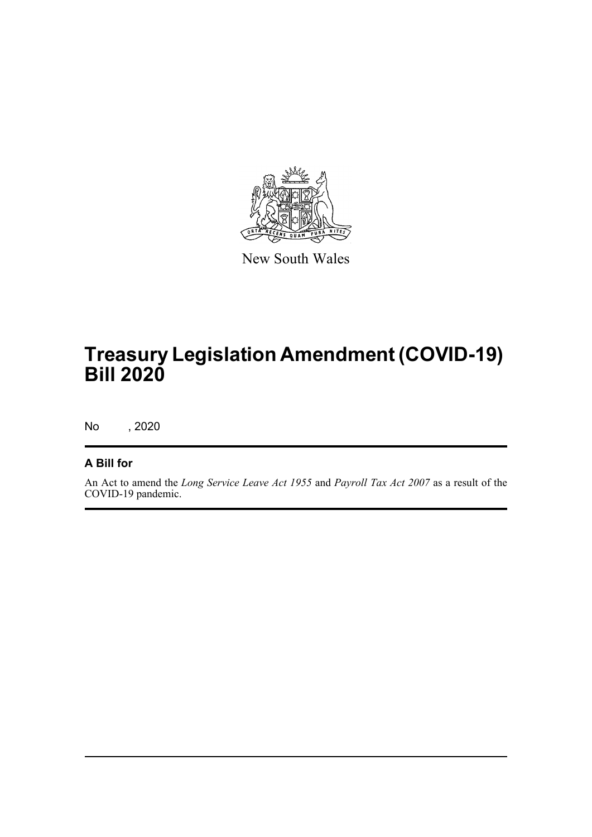

New South Wales

# **Treasury Legislation Amendment (COVID-19) Bill 2020**

No , 2020

#### **A Bill for**

An Act to amend the *Long Service Leave Act 1955* and *Payroll Tax Act 2007* as a result of the COVID-19 pandemic.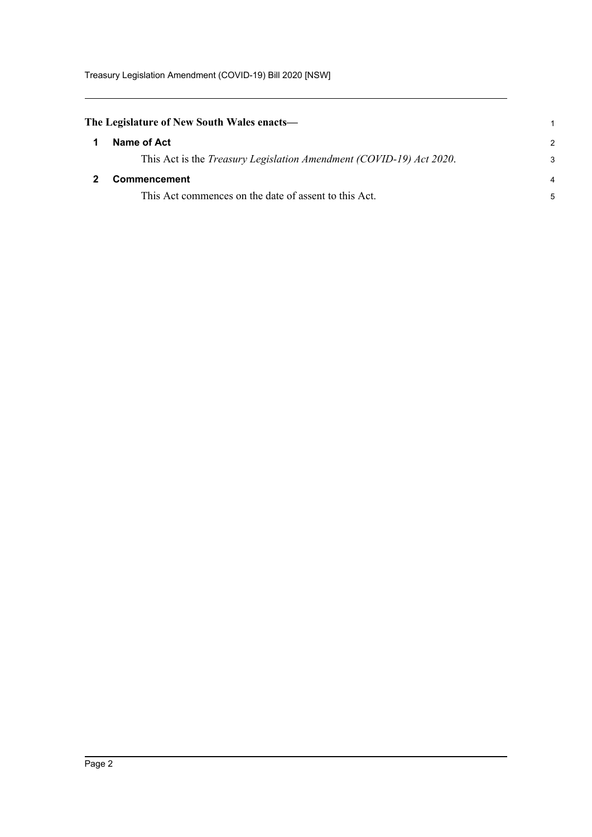Treasury Legislation Amendment (COVID-19) Bill 2020 [NSW]

<span id="page-4-1"></span><span id="page-4-0"></span>

| The Legislature of New South Wales enacts— |                                                                             |               |
|--------------------------------------------|-----------------------------------------------------------------------------|---------------|
|                                            | Name of Act                                                                 | $\mathcal{P}$ |
|                                            | This Act is the <i>Treasury Legislation Amendment (COVID-19) Act 2020</i> . | 3             |
|                                            | <b>Commencement</b>                                                         | 4             |
|                                            | This Act commences on the date of assent to this Act.                       | 5             |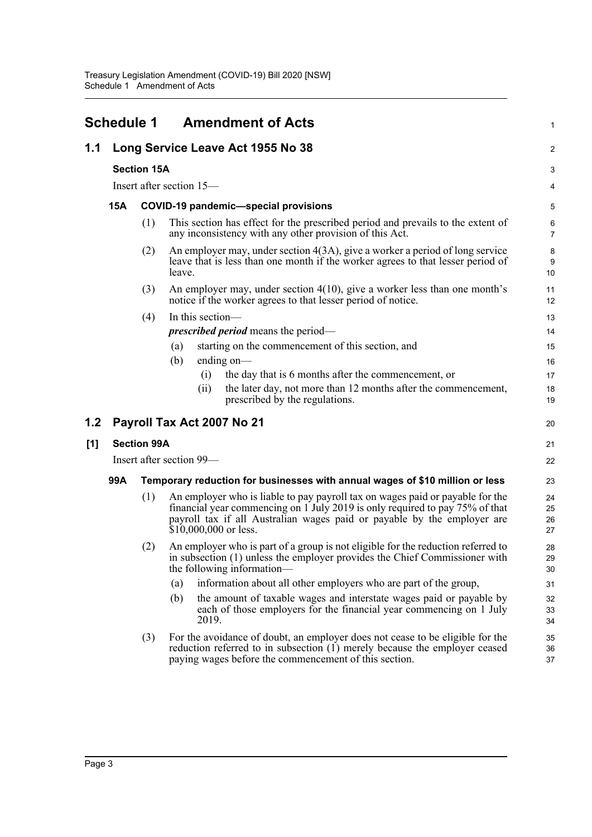<span id="page-5-0"></span>

|     | Schedule 1 |                    | <b>Amendment of Acts</b>                                                                                                                                                                                                                                           | $\mathbf{1}$         |
|-----|------------|--------------------|--------------------------------------------------------------------------------------------------------------------------------------------------------------------------------------------------------------------------------------------------------------------|----------------------|
| 1.1 |            |                    | Long Service Leave Act 1955 No 38                                                                                                                                                                                                                                  | 2                    |
|     |            | <b>Section 15A</b> |                                                                                                                                                                                                                                                                    | 3                    |
|     |            |                    | Insert after section 15—                                                                                                                                                                                                                                           | 4                    |
|     | 15A        |                    | <b>COVID-19 pandemic-special provisions</b>                                                                                                                                                                                                                        | 5                    |
|     |            | (1)                | This section has effect for the prescribed period and prevails to the extent of<br>any inconsistency with any other provision of this Act.                                                                                                                         | 6<br>7               |
|     |            | (2)                | An employer may, under section $4(3A)$ , give a worker a period of long service<br>leave that is less than one month if the worker agrees to that lesser period of<br>leave.                                                                                       | 8<br>9<br>10         |
|     |            | (3)                | An employer may, under section $4(10)$ , give a worker less than one month's<br>notice if the worker agrees to that lesser period of notice.                                                                                                                       | 11<br>12             |
|     |            | (4)                | In this section—                                                                                                                                                                                                                                                   | 13                   |
|     |            |                    | <i>prescribed period</i> means the period—                                                                                                                                                                                                                         | 14                   |
|     |            |                    | starting on the commencement of this section, and<br>(a)                                                                                                                                                                                                           | 15                   |
|     |            |                    | ending on—<br>(b)                                                                                                                                                                                                                                                  | 16                   |
|     |            |                    | the day that is 6 months after the commencement, or<br>(i)                                                                                                                                                                                                         | 17                   |
|     |            |                    | the later day, not more than 12 months after the commencement,<br>(i)<br>prescribed by the regulations.                                                                                                                                                            | 18<br>19             |
| 1.2 |            |                    | Payroll Tax Act 2007 No 21                                                                                                                                                                                                                                         | 20                   |
| [1] |            | <b>Section 99A</b> |                                                                                                                                                                                                                                                                    | 21                   |
|     |            |                    | Insert after section 99—                                                                                                                                                                                                                                           | 22                   |
|     | 99A        |                    | Temporary reduction for businesses with annual wages of \$10 million or less                                                                                                                                                                                       | 23                   |
|     |            | (1)                | An employer who is liable to pay payroll tax on wages paid or payable for the<br>financial year commencing on 1 July 2019 is only required to pay 75% of that<br>payroll tax if all Australian wages paid or payable by the employer are<br>$$10,000,000$ or less. | 24<br>25<br>26<br>27 |
|     |            | (2)                | An employer who is part of a group is not eligible for the reduction referred to<br>in subsection (1) unless the employer provides the Chief Commissioner with<br>the following information—                                                                       | 28<br>29<br>30       |
|     |            |                    | information about all other employers who are part of the group,<br>(a)                                                                                                                                                                                            | 31                   |
|     |            |                    | the amount of taxable wages and interstate wages paid or payable by<br>(b)<br>each of those employers for the financial year commencing on 1 July<br>2019.                                                                                                         | 32<br>33<br>34       |
|     |            | (3)                | For the avoidance of doubt, an employer does not cease to be eligible for the<br>reduction referred to in subsection $(1)$ merely because the employer ceased<br>paying wages before the commencement of this section.                                             | 35<br>36<br>37       |